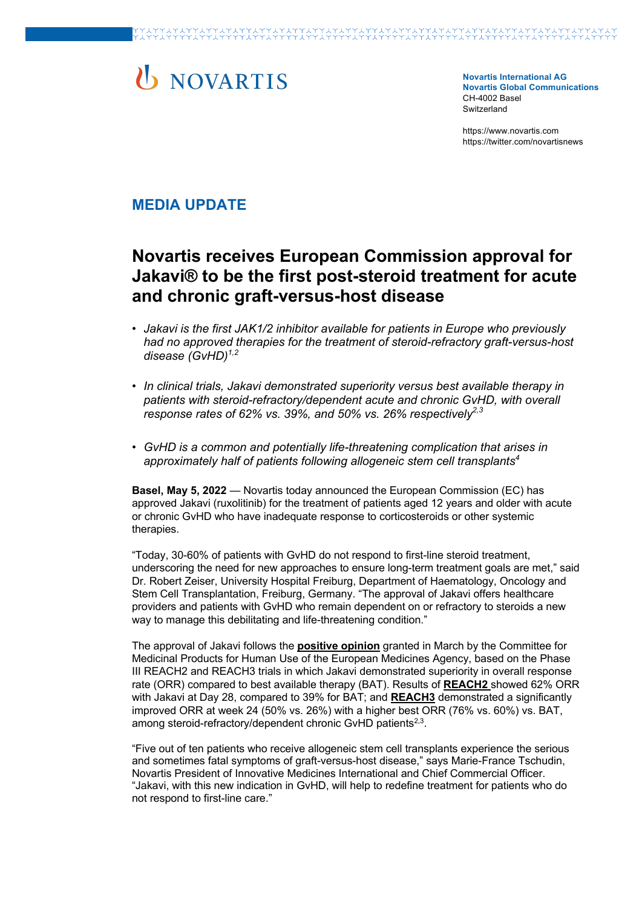# U NOVARTIS

**Novartis International AG Novartis Global Communications**  CH-4002 Basel **Switzerland** 

https://www.novartis.com https://twitter.com/novartisnews

### **MEDIA UPDATE**

## **Novartis receives European Commission approval for Jakavi® to be the first post-steroid treatment for acute and chronic graft-versus-host disease**

- *Jakavi is the first JAK1/2 inhibitor available for patients in Europe who previously had no approved therapies for the treatment of steroid-refractory graft-versus-host*  disease (GvHD)<sup>1,2</sup>
- *In clinical trials, Jakavi demonstrated superiority versus best available therapy in patients with steroid-refractory/dependent acute and chronic GvHD, with overall*  response rates of 62% vs. 39%, and 50% vs. 26% respectively<sup>2,3</sup>
- *GvHD is a common and potentially life-threatening complication that arises in approximately half of patients following allogeneic stem cell transplants4*

**Basel, May 5, 2022** — Novartis today announced the European Commission (EC) has approved Jakavi (ruxolitinib) for the treatment of patients aged 12 years and older with acute or chronic GvHD who have inadequate response to corticosteroids or other systemic therapies.

"Today, 30-60% of patients with GvHD do not respond to first-line steroid treatment, underscoring the need for new approaches to ensure long-term treatment goals are met," said Dr. Robert Zeiser, University Hospital Freiburg, Department of Haematology, Oncology and Stem Cell Transplantation, Freiburg, Germany. "The approval of Jakavi offers healthcare providers and patients with GvHD who remain dependent on or refractory to steroids a new way to manage this debilitating and life-threatening condition."

The approval of Jakavi follows the **positive opinion** granted in March by the Committee for Medicinal Products for Human Use of the European Medicines Agency, based on the Phase III REACH2 and REACH3 trials in which Jakavi demonstrated superiority in overall response rate (ORR) compared to best available therapy (BAT). Results of **REACH2** showed 62% ORR with Jakavi at Day 28, compared to 39% for BAT; and **REACH3** demonstrated a significantly improved ORR at week 24 (50% vs. 26%) with a higher best ORR (76% vs. 60%) vs. BAT, among steroid-refractory/dependent chronic GvHD patients<sup>2,3</sup>.

"Five out of ten patients who receive allogeneic stem cell transplants experience the serious and sometimes fatal symptoms of graft-versus-host disease," says Marie-France Tschudin, Novartis President of Innovative Medicines International and Chief Commercial Officer. "Jakavi, with this new indication in GvHD, will help to redefine treatment for patients who do not respond to first-line care."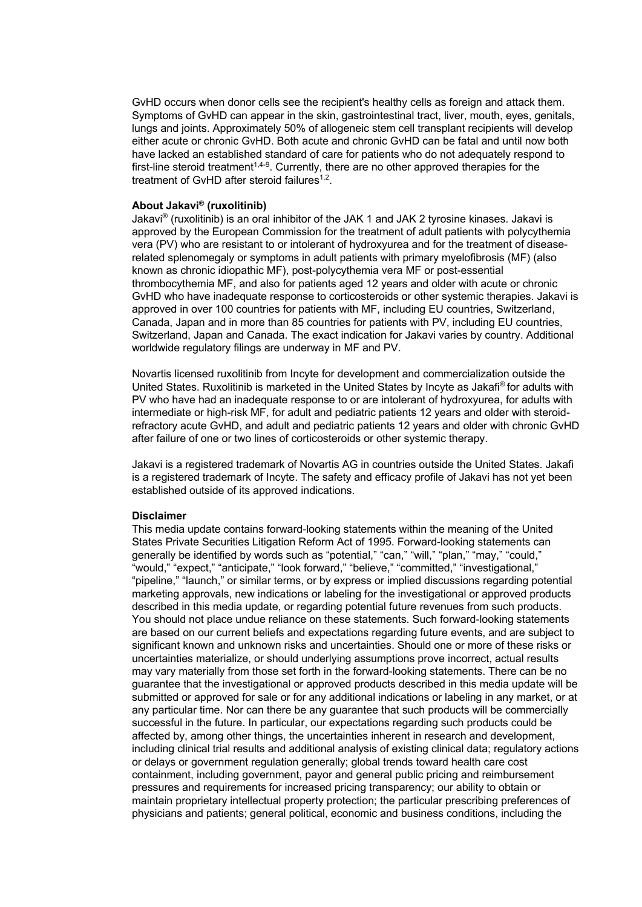GvHD occurs when donor cells see the recipient's healthy cells as foreign and attack them. Symptoms of GvHD can appear in the skin, gastrointestinal tract, liver, mouth, eyes, genitals, lungs and joints. Approximately 50% of allogeneic stem cell transplant recipients will develop either acute or chronic GvHD. Both acute and chronic GvHD can be fatal and until now both have lacked an established standard of care for patients who do not adequately respond to first-line steroid treatment<sup>1,4-9</sup>. Currently, there are no other approved therapies for the treatment of GvHD after steroid failures<sup>1,2</sup>.

#### **About Jakavi® (ruxolitinib)**

Jakavi® (ruxolitinib) is an oral inhibitor of the JAK 1 and JAK 2 tyrosine kinases. Jakavi is approved by the European Commission for the treatment of adult patients with polycythemia vera (PV) who are resistant to or intolerant of hydroxyurea and for the treatment of diseaserelated splenomegaly or symptoms in adult patients with primary myelofibrosis (MF) (also known as chronic idiopathic MF), post-polycythemia vera MF or post-essential thrombocythemia MF, and also for patients aged 12 years and older with acute or chronic GvHD who have inadequate response to corticosteroids or other systemic therapies. Jakavi is approved in over 100 countries for patients with MF, including EU countries, Switzerland, Canada, Japan and in more than 85 countries for patients with PV, including EU countries, Switzerland, Japan and Canada. The exact indication for Jakavi varies by country. Additional worldwide regulatory filings are underway in MF and PV.

Novartis licensed ruxolitinib from Incyte for development and commercialization outside the United States. Ruxolitinib is marketed in the United States by Incyte as Jakafi® for adults with PV who have had an inadequate response to or are intolerant of hydroxyurea, for adults with intermediate or high-risk MF, for adult and pediatric patients 12 years and older with steroidrefractory acute GvHD, and adult and pediatric patients 12 years and older with chronic GvHD after failure of one or two lines of corticosteroids or other systemic therapy.

Jakavi is a registered trademark of Novartis AG in countries outside the United States. Jakafi is a registered trademark of Incyte. The safety and efficacy profile of Jakavi has not yet been established outside of its approved indications.

#### **Disclaimer**

This media update contains forward-looking statements within the meaning of the United States Private Securities Litigation Reform Act of 1995. Forward-looking statements can generally be identified by words such as "potential," "can," "will," "plan," "may," "could," "would," "expect," "anticipate," "look forward," "believe," "committed," "investigational," "pipeline," "launch," or similar terms, or by express or implied discussions regarding potential marketing approvals, new indications or labeling for the investigational or approved products described in this media update, or regarding potential future revenues from such products. You should not place undue reliance on these statements. Such forward-looking statements are based on our current beliefs and expectations regarding future events, and are subject to significant known and unknown risks and uncertainties. Should one or more of these risks or uncertainties materialize, or should underlying assumptions prove incorrect, actual results may vary materially from those set forth in the forward-looking statements. There can be no guarantee that the investigational or approved products described in this media update will be submitted or approved for sale or for any additional indications or labeling in any market, or at any particular time. Nor can there be any guarantee that such products will be commercially successful in the future. In particular, our expectations regarding such products could be affected by, among other things, the uncertainties inherent in research and development, including clinical trial results and additional analysis of existing clinical data; regulatory actions or delays or government regulation generally; global trends toward health care cost containment, including government, payor and general public pricing and reimbursement pressures and requirements for increased pricing transparency; our ability to obtain or maintain proprietary intellectual property protection; the particular prescribing preferences of physicians and patients; general political, economic and business conditions, including the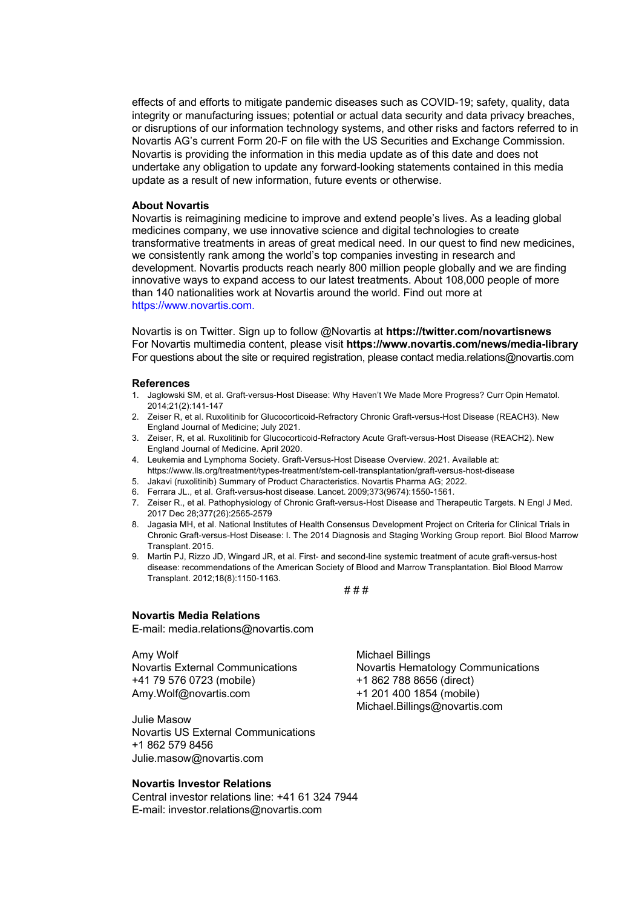effects of and efforts to mitigate pandemic diseases such as COVID-19; safety, quality, data integrity or manufacturing issues; potential or actual data security and data privacy breaches, or disruptions of our information technology systems, and other risks and factors referred to in Novartis AG's current Form 20-F on file with the US Securities and Exchange Commission. Novartis is providing the information in this media update as of this date and does not undertake any obligation to update any forward-looking statements contained in this media update as a result of new information, future events or otherwise.

#### **About Novartis**

Novartis is reimagining medicine to improve and extend people's lives. As a leading global medicines company, we use innovative science and digital technologies to create transformative treatments in areas of great medical need. In our quest to find new medicines, we consistently rank among the world's top companies investing in research and development. Novartis products reach nearly 800 million people globally and we are finding innovative ways to expand access to our latest treatments. About 108,000 people of more than 140 nationalities work at Novartis around the world. Find out more at https://www.novartis.com.

Novartis is on Twitter. Sign up to follow @Novartis at **https://twitter.com/novartisnews** For Novartis multimedia content, please visit **https://www.novartis.com/news/media-library** For questions about the site or required registration, please contact media.relations@novartis.com

#### **References**

- 1. Jaglowski SM, et al. Graft-versus-Host Disease: Why Haven't We Made More Progress? Curr Opin Hematol. 2014;21(2):141-147
- 2. Zeiser R, et al. Ruxolitinib for Glucocorticoid-Refractory Chronic Graft-versus-Host Disease (REACH3). New England Journal of Medicine; July 2021.
- 3. Zeiser, R, et al. Ruxolitinib for Glucocorticoid-Refractory Acute Graft-versus-Host Disease (REACH2). New England Journal of Medicine. April 2020.
- 4. Leukemia and Lymphoma Society. Graft-Versus-Host Disease Overview. 2021. Available at: https://www.lls.org/treatment/types-treatment/stem-cell-transplantation/graft-versus-host-disease
- 5. Jakavi (ruxolitinib) Summary of Product Characteristics. Novartis Pharma AG; 2022.
- 6. Ferrara JL., et al. Graft-versus-host disease. Lancet. 2009;373(9674):1550-1561.
- 7. Zeiser R., et al. Pathophysiology of Chronic Graft-versus-Host Disease and Therapeutic Targets. N Engl J Med. 2017 Dec 28;377(26):2565-2579
- 8. Jagasia MH, et al. National Institutes of Health Consensus Development Project on Criteria for Clinical Trials in Chronic Graft-versus-Host Disease: I. The 2014 Diagnosis and Staging Working Group report. Biol Blood Marrow Transplant. 2015.
- 9. Martin PJ, Rizzo JD, Wingard JR, et al. First- and second-line systemic treatment of acute graft-versus-host disease: recommendations of the American Society of Blood and Marrow Transplantation. Biol Blood Marrow Transplant. 2012;18(8):1150-1163.

# # #

#### **Novartis Media Relations**

E-mail: media.relations@novartis.com

Amy Wolf Novartis External Communications +41 79 576 0723 (mobile) Amy.Wolf@novartis.com

Julie Masow Novartis US External Communications +1 862 579 8456 Julie.masow@novartis.com

#### **Novartis Investor Relations**

Central investor relations line: +41 61 324 7944 E-mail: investor.relations@novartis.com

Michael Billings Novartis Hematology Communications +1 862 788 8656 (direct) +1 201 400 1854 (mobile) Michael.Billings@novartis.com